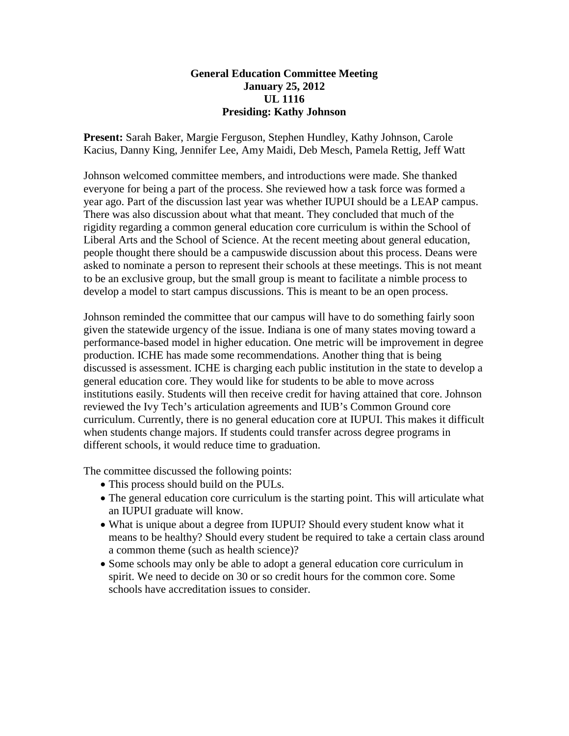## **General Education Committee Meeting January 25, 2012 UL 1116 Presiding: Kathy Johnson**

**Present:** Sarah Baker, Margie Ferguson, Stephen Hundley, Kathy Johnson, Carole Kacius, Danny King, Jennifer Lee, Amy Maidi, Deb Mesch, Pamela Rettig, Jeff Watt

Johnson welcomed committee members, and introductions were made. She thanked everyone for being a part of the process. She reviewed how a task force was formed a year ago. Part of the discussion last year was whether IUPUI should be a LEAP campus. There was also discussion about what that meant. They concluded that much of the rigidity regarding a common general education core curriculum is within the School of Liberal Arts and the School of Science. At the recent meeting about general education, people thought there should be a campuswide discussion about this process. Deans were asked to nominate a person to represent their schools at these meetings. This is not meant to be an exclusive group, but the small group is meant to facilitate a nimble process to develop a model to start campus discussions. This is meant to be an open process.

Johnson reminded the committee that our campus will have to do something fairly soon given the statewide urgency of the issue. Indiana is one of many states moving toward a performance-based model in higher education. One metric will be improvement in degree production. ICHE has made some recommendations. Another thing that is being discussed is assessment. ICHE is charging each public institution in the state to develop a general education core. They would like for students to be able to move across institutions easily. Students will then receive credit for having attained that core. Johnson reviewed the Ivy Tech's articulation agreements and IUB's Common Ground core curriculum. Currently, there is no general education core at IUPUI. This makes it difficult when students change majors. If students could transfer across degree programs in different schools, it would reduce time to graduation.

The committee discussed the following points:

- This process should build on the PULs.
- The general education core curriculum is the starting point. This will articulate what an IUPUI graduate will know.
- What is unique about a degree from IUPUI? Should every student know what it means to be healthy? Should every student be required to take a certain class around a common theme (such as health science)?
- Some schools may only be able to adopt a general education core curriculum in spirit. We need to decide on 30 or so credit hours for the common core. Some schools have accreditation issues to consider.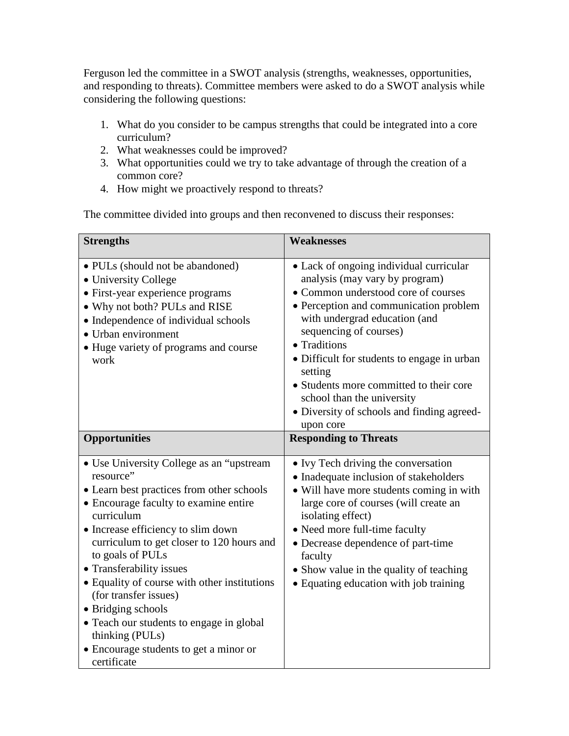Ferguson led the committee in a SWOT analysis (strengths, weaknesses, opportunities, and responding to threats). Committee members were asked to do a SWOT analysis while considering the following questions:

- 1. What do you consider to be campus strengths that could be integrated into a core curriculum?
- 2. What weaknesses could be improved?
- 3. What opportunities could we try to take advantage of through the creation of a common core?
- 4. How might we proactively respond to threats?

The committee divided into groups and then reconvened to discuss their responses:

| <b>Strengths</b>                                                                                                                                                                                                                                                                                                                                                                                                                                                                                                     | <b>Weaknesses</b>                                                                                                                                                                                                                                                                                                                                                                                                                   |
|----------------------------------------------------------------------------------------------------------------------------------------------------------------------------------------------------------------------------------------------------------------------------------------------------------------------------------------------------------------------------------------------------------------------------------------------------------------------------------------------------------------------|-------------------------------------------------------------------------------------------------------------------------------------------------------------------------------------------------------------------------------------------------------------------------------------------------------------------------------------------------------------------------------------------------------------------------------------|
| • PULs (should not be abandoned)<br>• University College<br>• First-year experience programs<br>• Why not both? PULs and RISE<br>• Independence of individual schools<br>• Urban environment<br>• Huge variety of programs and course<br>work                                                                                                                                                                                                                                                                        | • Lack of ongoing individual curricular<br>analysis (may vary by program)<br>• Common understood core of courses<br>• Perception and communication problem<br>with undergrad education (and<br>sequencing of courses)<br>• Traditions<br>· Difficult for students to engage in urban<br>setting<br>• Students more committed to their core<br>school than the university<br>• Diversity of schools and finding agreed-<br>upon core |
| <b>Opportunities</b>                                                                                                                                                                                                                                                                                                                                                                                                                                                                                                 | <b>Responding to Threats</b>                                                                                                                                                                                                                                                                                                                                                                                                        |
| • Use University College as an "upstream"<br>resource"<br>• Learn best practices from other schools<br>• Encourage faculty to examine entire<br>curriculum<br>• Increase efficiency to slim down<br>curriculum to get closer to 120 hours and<br>to goals of PULs<br>• Transferability issues<br>• Equality of course with other institutions<br>(for transfer issues)<br>• Bridging schools<br>• Teach our students to engage in global<br>thinking (PULs)<br>• Encourage students to get a minor or<br>certificate | • Ivy Tech driving the conversation<br>• Inadequate inclusion of stakeholders<br>• Will have more students coming in with<br>large core of courses (will create an<br>isolating effect)<br>• Need more full-time faculty<br>• Decrease dependence of part-time<br>faculty<br>• Show value in the quality of teaching<br>• Equating education with job training                                                                      |